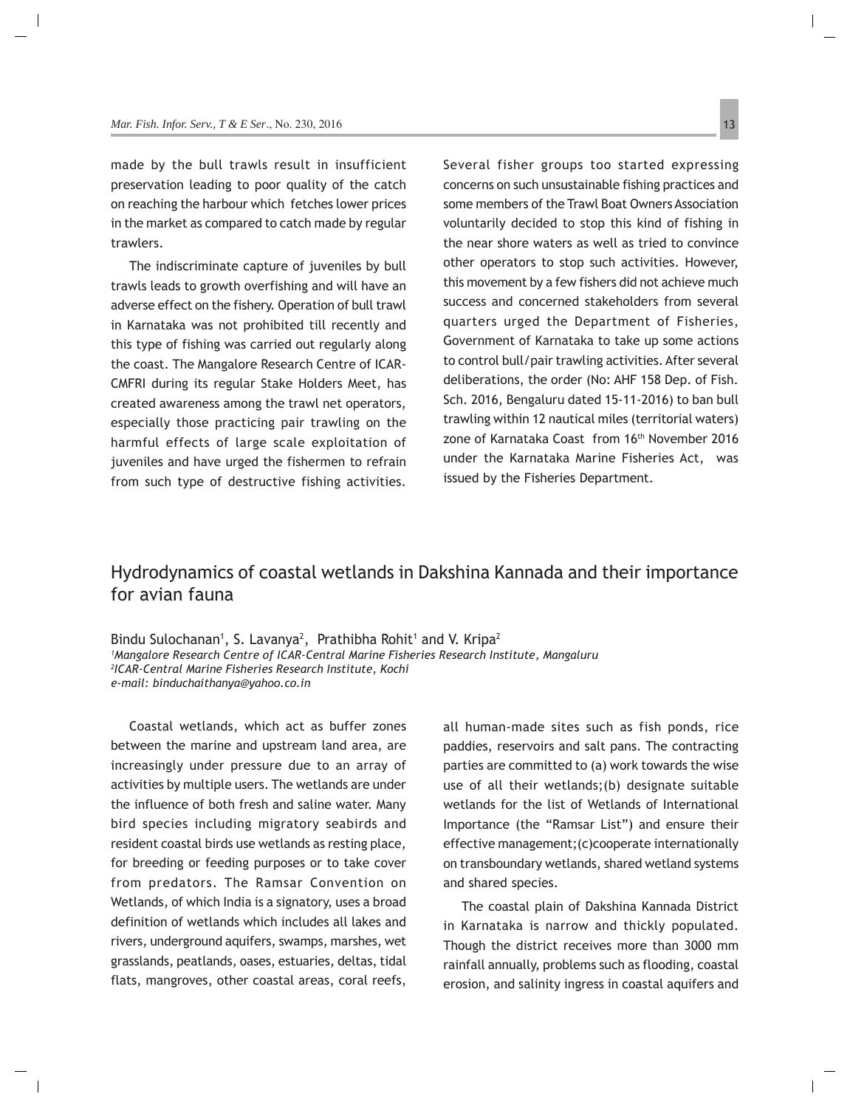## Hydrodynamics of coastal wetlands in Dakshina Kannada and their importance for avian fauna

Bindu Sulochanan<sup>1</sup>, S. Lavanya<sup>2</sup>, Prathibha Rohit<sup>1</sup> and V. Kripa<sup>2</sup> *1 Mangalore Research Centre of ICAR-Central Marine Fisheries Research Institute, Mangaluru 2 ICAR-Central Marine Fisheries Research Institute, Kochi e-mail: binduchaithanya@yahoo.co.in*

Coastal wetlands, which act as buffer zones between the marine and upstream land area, are increasingly under pressure due to an array of activities by multiple users. The wetlands are under the influence of both fresh and saline water. Many bird species including migratory seabirds and resident coastal birds use wetlands as resting place, for breeding or feeding purposes or to take cover from predators. The Ramsar Convention on Wetlands, of which India is a signatory, uses a broad definition of wetlands which includes all lakes and rivers, underground aquifers, swamps, marshes, wet grasslands, peatlands, oases, estuaries, deltas, tidal flats, mangroves, other coastal areas, coral reefs,

all human-made sites such as fish ponds, rice paddies, reservoirs and salt pans. The contracting parties are committed to (a) work towards the wise use of all their wetlands;(b) designate suitable wetlands for the list of Wetlands of International Importance (the "Ramsar List") and ensure their effective management;(c)cooperate internationally on transboundary wetlands, shared wetland systems and shared species.

The coastal plain of Dakshina Kannada District in Karnataka is narrow and thickly populated. Though the district receives more than 3000 mm rainfall annually, problems such as flooding, coastal erosion, and salinity ingress in coastal aquifers and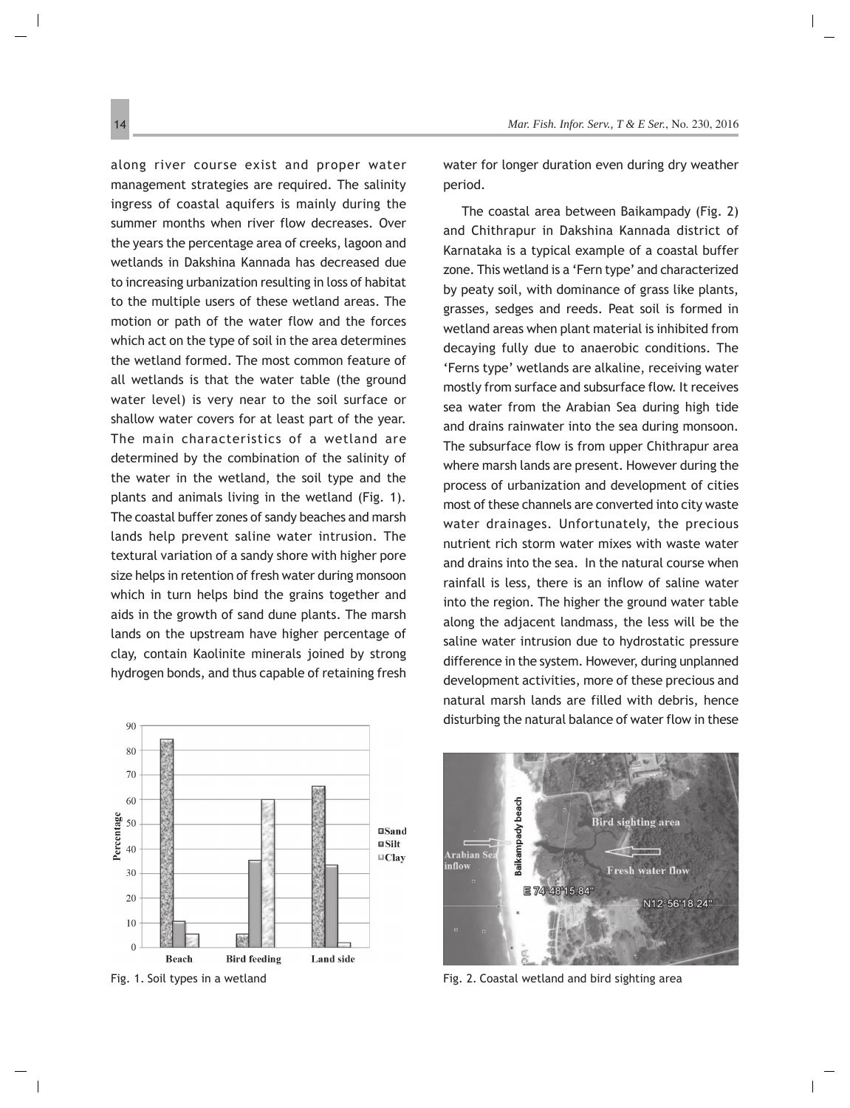along river course exist and proper water management strategies are required. The salinity ingress of coastal aquifers is mainly during the summer months when river flow decreases. Over the years the percentage area of creeks, lagoon and wetlands in Dakshina Kannada has decreased due to increasing urbanization resulting in loss of habitat to the multiple users of these wetland areas. The motion or path of the water flow and the forces which act on the type of soil in the area determines the wetland formed. The most common feature of all wetlands is that the water table (the ground water level) is very near to the soil surface or shallow water covers for at least part of the year. The main characteristics of a wetland are determined by the combination of the salinity of the water in the wetland, the soil type and the plants and animals living in the wetland (Fig. 1). The coastal buffer zones of sandy beaches and marsh lands help prevent saline water intrusion. The textural variation of a sandy shore with higher pore size helps in retention of fresh water during monsoon which in turn helps bind the grains together and aids in the growth of sand dune plants. The marsh lands on the upstream have higher percentage of clay, contain Kaolinite minerals joined by strong hydrogen bonds, and thus capable of retaining fresh



water for longer duration even during dry weather period.

The coastal area between Baikampady (Fig. 2) and Chithrapur in Dakshina Kannada district of Karnataka is a typical example of a coastal buffer zone. This wetland is a 'Fern type' and characterized by peaty soil, with dominance of grass like plants, grasses, sedges and reeds. Peat soil is formed in wetland areas when plant material is inhibited from decaying fully due to anaerobic conditions. The 'Ferns type' wetlands are alkaline, receiving water mostly from surface and subsurface flow. It receives sea water from the Arabian Sea during high tide and drains rainwater into the sea during monsoon. The subsurface flow is from upper Chithrapur area where marsh lands are present. However during the process of urbanization and development of cities most of these channels are converted into city waste water drainages. Unfortunately, the precious nutrient rich storm water mixes with waste water and drains into the sea. In the natural course when rainfall is less, there is an inflow of saline water into the region. The higher the ground water table along the adjacent landmass, the less will be the saline water intrusion due to hydrostatic pressure difference in the system. However, during unplanned development activities, more of these precious and natural marsh lands are filled with debris, hence disturbing the natural balance of water flow in these

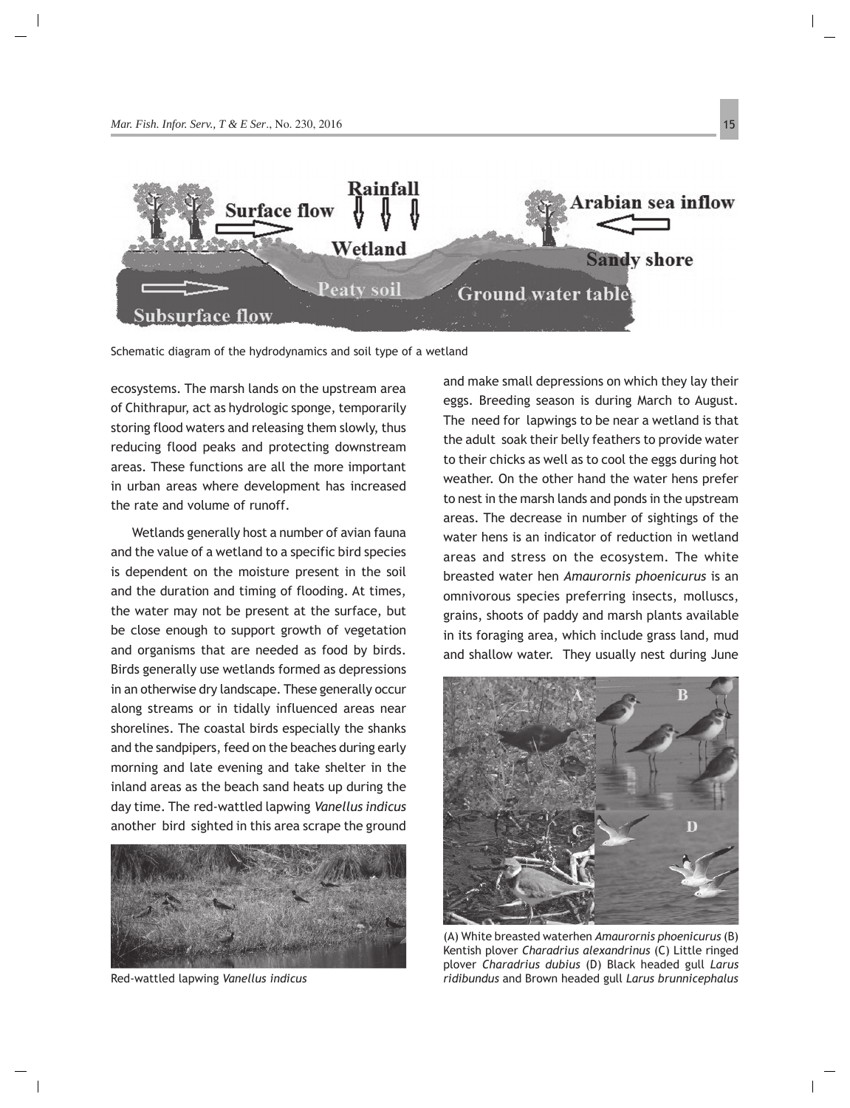

Schematic diagram of the hydrodynamics and soil type of a wetland

ecosystems. The marsh lands on the upstream area of Chithrapur, act as hydrologic sponge, temporarily storing flood waters and releasing them slowly, thus reducing flood peaks and protecting downstream areas. These functions are all the more important in urban areas where development has increased the rate and volume of runoff.

 Wetlands generally host a number of avian fauna and the value of a wetland to a specific bird species is dependent on the moisture present in the soil and the duration and timing of flooding. At times, the water may not be present at the surface, but be close enough to support growth of vegetation and organisms that are needed as food by birds. Birds generally use wetlands formed as depressions in an otherwise dry landscape. These generally occur along streams or in tidally influenced areas near shorelines. The coastal birds especially the shanks and the sandpipers, feed on the beaches during early morning and late evening and take shelter in the inland areas as the beach sand heats up during the day time. The red-wattled lapwing *Vanellus indicus* another bird sighted in this area scrape the ground



Red-wattled lapwing *Vanellus indicus*

and make small depressions on which they lay their eggs. Breeding season is during March to August. The need for lapwings to be near a wetland is that the adult soak their belly feathers to provide water to their chicks as well as to cool the eggs during hot weather. On the other hand the water hens prefer to nest in the marsh lands and ponds in the upstream areas. The decrease in number of sightings of the water hens is an indicator of reduction in wetland areas and stress on the ecosystem. The white breasted water hen *Amaurornis phoenicurus* is an omnivorous species preferring insects, molluscs, grains, shoots of paddy and marsh plants available in its foraging area, which include grass land, mud and shallow water. They usually nest during June



(A) White breasted waterhen *Amaurornis phoenicurus* (B) Kentish plover *Charadrius alexandrinus* (C) Little ringed plover *Charadrius dubius* (D) Black headed gull *Larus ridibundus* and Brown headed gull *Larus brunnicephalus*